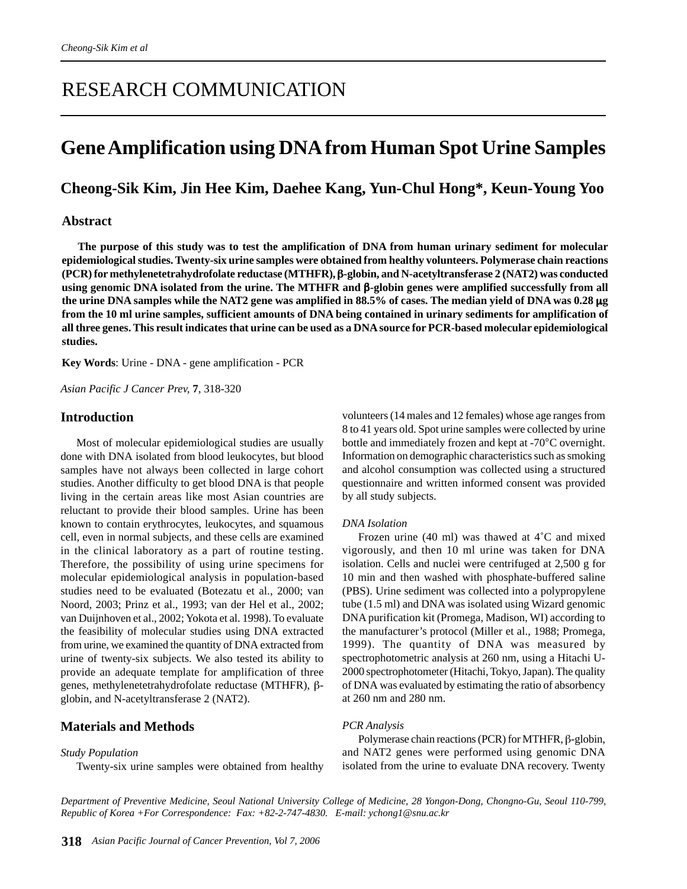# RESEARCH COMMUNICATION

# **Gene Amplification using DNA from Human Spot Urine Samples**

# **Cheong-Sik Kim, Jin Hee Kim, Daehee Kang, Yun-Chul Hong\*, Keun-Young Yoo**

# **Abstract**

**The purpose of this study was to test the amplification of DNA from human urinary sediment for molecular epidemiological studies. Twenty-six urine samples were obtained from healthy volunteers. Polymerase chain reactions (PCR) for methylenetetrahydrofolate reductase (MTHFR),** β**-globin, and N-acetyltransferase 2 (NAT2) was conducted using genomic DNA isolated from the urine. The MTHFR and** β**-globin genes were amplified successfully from all the urine DNA samples while the NAT2 gene was amplified in 88.5% of cases. The median yield of DNA was 0.28** µ**g from the 10 ml urine samples, sufficient amounts of DNA being contained in urinary sediments for amplification of all three genes. This result indicates that urine can be used as a DNA source for PCR-based molecular epidemiological studies.**

**Key Words**: Urine - DNA - gene amplification - PCR

*Asian Pacific J Cancer Prev,* **7**, 318-320

## **Introduction**

Most of molecular epidemiological studies are usually done with DNA isolated from blood leukocytes, but blood samples have not always been collected in large cohort studies. Another difficulty to get blood DNA is that people living in the certain areas like most Asian countries are reluctant to provide their blood samples. Urine has been known to contain erythrocytes, leukocytes, and squamous cell, even in normal subjects, and these cells are examined in the clinical laboratory as a part of routine testing. Therefore, the possibility of using urine specimens for molecular epidemiological analysis in population-based studies need to be evaluated (Botezatu et al., 2000; van Noord, 2003; Prinz et al., 1993; van der Hel et al., 2002; van Duijnhoven et al., 2002; Yokota et al. 1998). To evaluate the feasibility of molecular studies using DNA extracted from urine, we examined the quantity of DNA extracted from urine of twenty-six subjects. We also tested its ability to provide an adequate template for amplification of three genes, methylenetetrahydrofolate reductase (MTHFR), βglobin, and N-acetyltransferase 2 (NAT2).

# **Materials and Methods**

### *Study Population*

Twenty-six urine samples were obtained from healthy

volunteers (14 males and 12 females) whose age ranges from 8 to 41 years old. Spot urine samples were collected by urine bottle and immediately frozen and kept at -70°C overnight. Information on demographic characteristics such as smoking and alcohol consumption was collected using a structured questionnaire and written informed consent was provided by all study subjects.

#### *DNA Isolation*

Frozen urine (40 ml) was thawed at 4˚C and mixed vigorously, and then 10 ml urine was taken for DNA isolation. Cells and nuclei were centrifuged at 2,500 g for 10 min and then washed with phosphate-buffered saline (PBS). Urine sediment was collected into a polypropylene tube (1.5 ml) and DNA was isolated using Wizard genomic DNA purification kit (Promega, Madison, WI) according to the manufacturer's protocol (Miller et al., 1988; Promega, 1999). The quantity of DNA was measured by spectrophotometric analysis at 260 nm, using a Hitachi U-2000 spectrophotometer (Hitachi, Tokyo, Japan). The quality of DNA was evaluated by estimating the ratio of absorbency at 260 nm and 280 nm.

#### *PCR Analysis*

Polymerase chain reactions (PCR) for MTHFR, β-globin, and NAT2 genes were performed using genomic DNA isolated from the urine to evaluate DNA recovery. Twenty

*Department of Preventive Medicine, Seoul National University College of Medicine, 28 Yongon-Dong, Chongno-Gu, Seoul 110-799, Republic of Korea +For Correspondence: Fax: +82-2-747-4830. E-mail: ychong1@snu.ac.kr*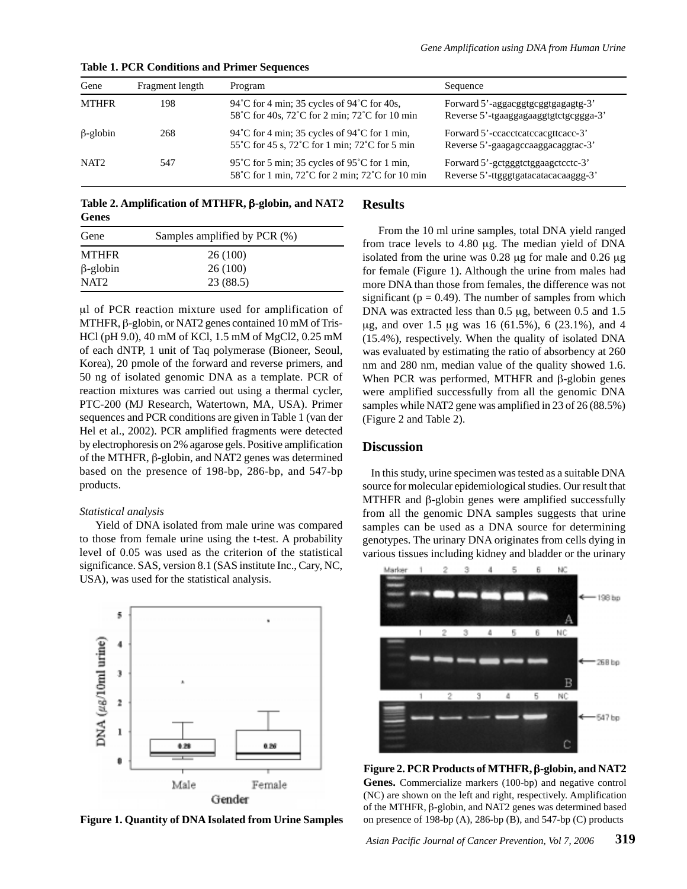| Gene             | Fragment length | Program                                                                                           | Sequence                                                                    |
|------------------|-----------------|---------------------------------------------------------------------------------------------------|-----------------------------------------------------------------------------|
| <b>MTHFR</b>     | 198             | 94 °C for 4 min; 35 cycles of $94$ °C for 40s,<br>58°C for 40s, 72°C for 2 min; 72°C for 10 min   | Forward 5'-aggacggtgcggtgagagtg-3'<br>Reverse 5'-tgaaggagaaggtgtctgcggga-3' |
| $\beta$ -globin  | 268             | 94°C for 4 min; 35 cycles of 94°C for 1 min,<br>55°C for 45 s, 72°C for 1 min; 72°C for 5 min     | Forward 5'-ccacctcatccacgttcacc-3'<br>Reverse 5'-gaagagccaaggacaggtac-3'    |
| NAT <sub>2</sub> | 547             | 95 °C for 5 min; 35 cycles of 95 °C for 1 min,<br>58°C for 1 min, 72°C for 2 min; 72°C for 10 min | Forward 5'-getgggtetggaagetecte-3'<br>Reverse 5'-ttgggtgatacatacacaaggg-3'  |

**Table 1. PCR Conditions and Primer Sequences**

**Table 2. Amplification of MTHFR,** β**-globin, and NAT2 Genes**

| Gene             | Samples amplified by PCR (%) |  |
|------------------|------------------------------|--|
| <b>MTHFR</b>     | 26(100)                      |  |
| $\beta$ -globin  | 26(100)                      |  |
| NAT <sub>2</sub> | 23 (88.5)                    |  |

µl of PCR reaction mixture used for amplification of MTHFR, β-globin, or NAT2 genes contained 10 mM of Tris-HCl (pH 9.0), 40 mM of KCl, 1.5 mM of MgCl2, 0.25 mM of each dNTP, 1 unit of Taq polymerase (Bioneer, Seoul, Korea), 20 pmole of the forward and reverse primers, and 50 ng of isolated genomic DNA as a template. PCR of reaction mixtures was carried out using a thermal cycler, PTC-200 (MJ Research, Watertown, MA, USA). Primer sequences and PCR conditions are given in Table 1 (van der Hel et al., 2002). PCR amplified fragments were detected by electrophoresis on 2% agarose gels. Positive amplification of the MTHFR, β-globin, and NAT2 genes was determined based on the presence of 198-bp, 286-bp, and 547-bp products.

### *Statistical analysis*

Yield of DNA isolated from male urine was compared to those from female urine using the t-test. A probability level of 0.05 was used as the criterion of the statistical significance. SAS, version 8.1 (SAS institute Inc., Cary, NC, USA), was used for the statistical analysis.



**Figure 1. Quantity of DNA Isolated from Urine Samples**

# **Results**

From the 10 ml urine samples, total DNA yield ranged from trace levels to 4.80 µg. The median yield of DNA isolated from the urine was 0.28 µg for male and 0.26 µg for female (Figure 1). Although the urine from males had more DNA than those from females, the difference was not significant ( $p = 0.49$ ). The number of samples from which DNA was extracted less than 0.5 µg, between 0.5 and 1.5 µg, and over 1.5 µg was 16 (61.5%), 6 (23.1%), and 4 (15.4%), respectively. When the quality of isolated DNA was evaluated by estimating the ratio of absorbency at 260 nm and 280 nm, median value of the quality showed 1.6. When PCR was performed, MTHFR and β-globin genes were amplified successfully from all the genomic DNA samples while NAT2 gene was amplified in 23 of 26 (88.5%) (Figure 2 and Table 2).

# **Discussion**

In this study, urine specimen was tested as a suitable DNA source for molecular epidemiological studies. Our result that MTHFR and β-globin genes were amplified successfully from all the genomic DNA samples suggests that urine samples can be used as a DNA source for determining genotypes. The urinary DNA originates from cells dying in various tissues including kidney and bladder or the urinary



**Figure 2. PCR Products of MTHFR,** β**-globin, and NAT2 Genes.** Commercialize markers (100-bp) and negative control (NC) are shown on the left and right, respectively. Amplification of the MTHFR, β-globin, and NAT2 genes was determined based on presence of 198-bp (A), 286-bp (B), and 547-bp (C) products